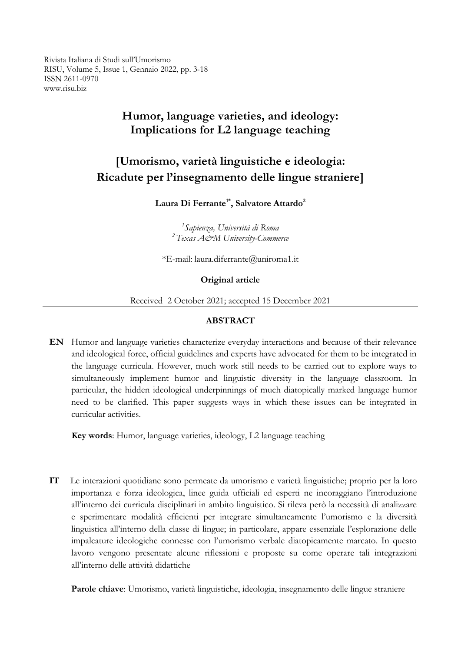Rivista Italiana di Studi sull'Umorismo RISU, Volume 5, Issue 1, Gennaio 2022, pp. 3-18 ISSN 2611-0970 www.risu.biz

## **Humor, language varieties, and ideology: Implications for L2 language teaching**

# **[Umorismo, varietà linguistiche e ideologia: Ricadute per l'insegnamento delle lingue straniere]**

**Laura Di Ferrante1\* , Salvatore Attardo<sup>2</sup>**

*1 Sapienza, Università di Roma <sup>2</sup>Texas A&M University-Commerce*

\*E-mail: laura.diferrante@uniroma1.it

#### **Original article**

Received 2 October 2021; accepted 15 December 2021

#### **ABSTRACT**

**EN** Humor and language varieties characterize everyday interactions and because of their relevance and ideological force, official guidelines and experts have advocated for them to be integrated in the language curricula. However, much work still needs to be carried out to explore ways to simultaneously implement humor and linguistic diversity in the language classroom. In particular, the hidden ideological underpinnings of much diatopically marked language humor need to be clarified. This paper suggests ways in which these issues can be integrated in curricular activities.

**Key words**: Humor, language varieties, ideology, L2 language teaching

**IT** Le interazioni quotidiane sono permeate da umorismo e varietà linguistiche; proprio per la loro importanza e forza ideologica, linee guida ufficiali ed esperti ne incoraggiano l'introduzione all'interno dei curricula disciplinari in ambito linguistico. Si rileva però la necessità di analizzare e sperimentare modalità efficienti per integrare simultaneamente l'umorismo e la diversità linguistica all'interno della classe di lingue; in particolare, appare essenziale l'esplorazione delle impalcature ideologiche connesse con l'umorismo verbale diatopicamente marcato. In questo lavoro vengono presentate alcune riflessioni e proposte su come operare tali integrazioni all'interno delle attività didattiche

**Parole chiave**: Umorismo, varietà linguistiche, ideologia, insegnamento delle lingue straniere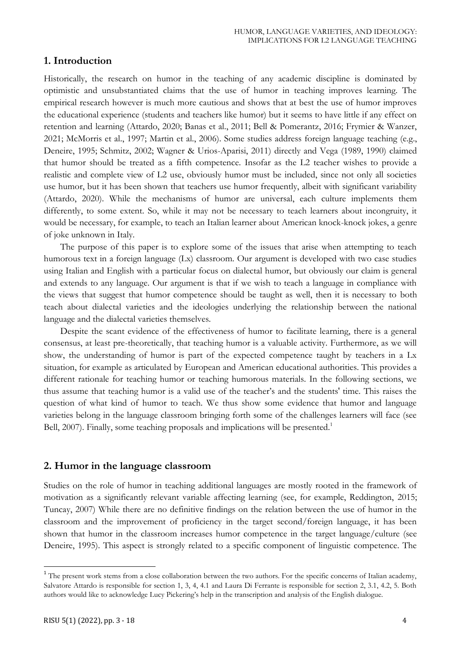## **1. Introduction**

Historically, the research on humor in the teaching of any academic discipline is dominated by optimistic and unsubstantiated claims that the use of humor in teaching improves learning. The empirical research however is much more cautious and shows that at best the use of humor improves the educational experience (students and teachers like humor) but it seems to have little if any effect on retention and learning (Attardo, 2020; Banas et al., 2011; Bell & Pomerantz, 2016; Frymier & Wanzer, 2021; McMorris et al., 1997; Martin et al., 2006). Some studies address foreign language teaching (e.g., Deneire, 1995; Schmitz, 2002; Wagner & Urios-Aparisi, 2011) directly and Vega (1989, 1990) claimed that humor should be treated as a fifth competence. Insofar as the L2 teacher wishes to provide a realistic and complete view of L2 use, obviously humor must be included, since not only all societies use humor, but it has been shown that teachers use humor frequently, albeit with significant variability (Attardo, 2020). While the mechanisms of humor are universal, each culture implements them differently, to some extent. So, while it may not be necessary to teach learners about incongruity, it would be necessary, for example, to teach an Italian learner about American knock-knock jokes, a genre of joke unknown in Italy.

The purpose of this paper is to explore some of the issues that arise when attempting to teach humorous text in a foreign language (Lx) classroom. Our argument is developed with two case studies using Italian and English with a particular focus on dialectal humor, but obviously our claim is general and extends to any language. Our argument is that if we wish to teach a language in compliance with the views that suggest that humor competence should be taught as well, then it is necessary to both teach about dialectal varieties and the ideologies underlying the relationship between the national language and the dialectal varieties themselves.

Despite the scant evidence of the effectiveness of humor to facilitate learning, there is a general consensus, at least pre-theoretically, that teaching humor is a valuable activity. Furthermore, as we will show, the understanding of humor is part of the expected competence taught by teachers in a Lx situation, for example as articulated by European and American educational authorities. This provides a different rationale for teaching humor or teaching humorous materials. In the following sections, we thus assume that teaching humor is a valid use of the teacher's and the students' time. This raises the question of what kind of humor to teach. We thus show some evidence that humor and language varieties belong in the language classroom bringing forth some of the challenges learners will face (see Bell, 2007). Finally, some teaching proposals and implications will be presented.<sup>1</sup>

## **2. Humor in the language classroom**

Studies on the role of humor in teaching additional languages are mostly rooted in the framework of motivation as a significantly relevant variable affecting learning (see, for example, Reddington, 2015; Tuncay, 2007) While there are no definitive findings on the relation between the use of humor in the classroom and the improvement of proficiency in the target second/foreign language, it has been shown that humor in the classroom increases humor competence in the target language/culture (see Deneire, 1995). This aspect is strongly related to a specific component of linguistic competence. The

<sup>&</sup>lt;sup>1</sup> The present work stems from a close collaboration between the two authors. For the specific concerns of Italian academy, Salvatore Attardo is responsible for section 1, 3, 4, 4.1 and Laura Di Ferrante is responsible for section 2, 3.1, 4.2, 5. Both authors would like to acknowledge Lucy Pickering's help in the transcription and analysis of the English dialogue.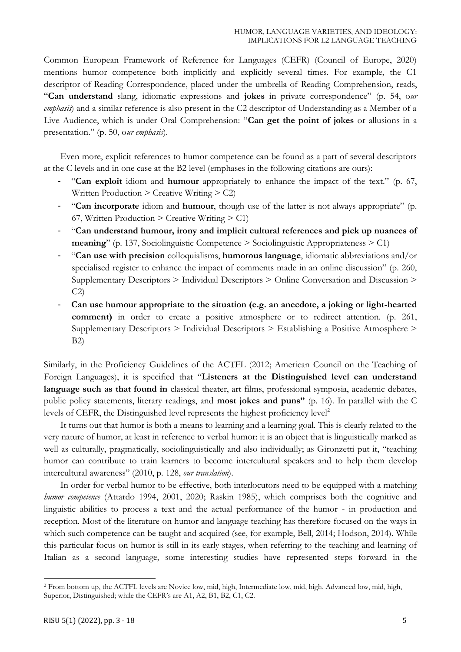Common European Framework of Reference for Languages (CEFR) (Council of Europe, 2020) mentions humor competence both implicitly and explicitly several times. For example, the C1 descriptor of Reading Correspondence, placed under the umbrella of Reading Comprehension, reads, "**Can understand** slang, idiomatic expressions and **jokes** in private correspondence" (p. 54, o*ur emphasis*) and a similar reference is also present in the C2 descriptor of Understanding as a Member of a Live Audience, which is under Oral Comprehension: "**Can get the point of jokes** or allusions in a presentation." (p. 50, o*ur emphasis*).

Even more, explicit references to humor competence can be found as a part of several descriptors at the C levels and in one case at the B2 level (emphases in the following citations are ours):

- "**Can exploit** idiom and **humour** appropriately to enhance the impact of the text." (p. 67, Written Production > Creative Writing > C2)
- "**Can incorporate** idiom and **humour**, though use of the latter is not always appropriate" (p. 67, Written Production  $\geq$  Creative Writing  $\geq$  C1)
- "**Can understand humour, irony and implicit cultural references and pick up nuances of meaning**" (p. 137, Sociolinguistic Competence > Sociolinguistic Appropriateness > C1)
- "**Can use with precision** colloquialisms, **humorous language**, idiomatic abbreviations and/or specialised register to enhance the impact of comments made in an online discussion" (p. 260, Supplementary Descriptors > Individual Descriptors > Online Conversation and Discussion >  $C2$
- **Can use humour appropriate to the situation (e.g. an anecdote, a joking or light-hearted comment)** in order to create a positive atmosphere or to redirect attention. (p. 261, Supplementary Descriptors > Individual Descriptors > Establishing a Positive Atmosphere > B2)

Similarly, in the Proficiency Guidelines of the ACTFL (2012; American Council on the Teaching of Foreign Languages), it is specified that "**Listeners at the Distinguished level can understand language such as that found in** classical theater, art films, professional symposia, academic debates, public policy statements, literary readings, and **most jokes and puns"** (p. 16). In parallel with the C levels of CEFR, the Distinguished level represents the highest proficiency level<sup>2</sup>

It turns out that humor is both a means to learning and a learning goal. This is clearly related to the very nature of humor, at least in reference to verbal humor: it is an object that is linguistically marked as well as culturally, pragmatically, sociolinguistically and also individually; as Gironzetti put it, "teaching humor can contribute to train learners to become intercultural speakers and to help them develop intercultural awareness" (2010, p. 128, *our translation*).

In order for verbal humor to be effective, both interlocutors need to be equipped with a matching *humor competence* (Attardo 1994, 2001, 2020; Raskin 1985), which comprises both the cognitive and linguistic abilities to process a text and the actual performance of the humor - in production and reception. Most of the literature on humor and language teaching has therefore focused on the ways in which such competence can be taught and acquired (see, for example, Bell, 2014; Hodson, 2014). While this particular focus on humor is still in its early stages, when referring to the teaching and learning of Italian as a second language, some interesting studies have represented steps forward in the

<sup>2</sup> From bottom up, the ACTFL levels are Novice low, mid, high, Intermediate low, mid, high, Advanced low, mid, high, Superior, Distinguished; while the CEFR's are A1, A2, B1, B2, C1, C2.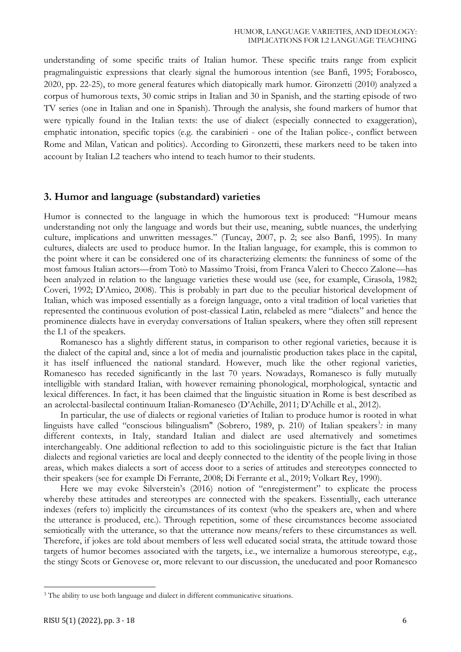understanding of some specific traits of Italian humor. These specific traits range from explicit pragmalinguistic expressions that clearly signal the humorous intention (see Banfi, 1995; Forabosco, 2020, pp. 22-25), to more general features which diatopically mark humor. Gironzetti (2010) analyzed a corpus of humorous texts, 30 comic strips in Italian and 30 in Spanish, and the starting episode of two TV series (one in Italian and one in Spanish). Through the analysis, she found markers of humor that were typically found in the Italian texts: the use of dialect (especially connected to exaggeration), emphatic intonation, specific topics (e.g. the carabinieri - one of the Italian police-, conflict between Rome and Milan, Vatican and politics). According to Gironzetti, these markers need to be taken into account by Italian L2 teachers who intend to teach humor to their students.

## **3. Humor and language (substandard) varieties**

Humor is connected to the language in which the humorous text is produced: "Humour means understanding not only the language and words but their use, meaning, subtle nuances, the underlying culture, implications and unwritten messages." (Tuncay, 2007, p. 2; see also Banfi, 1995). In many cultures, dialects are used to produce humor. In the Italian language, for example, this is common to the point where it can be considered one of its characterizing elements: the funniness of some of the most famous Italian actors—from Totò to Massimo Troisi, from Franca Valeri to Checco Zalone—has been analyzed in relation to the language varieties these would use (see, for example, Cirasola, 1982; Coveri, 1992; D'Amico, 2008). This is probably in part due to the peculiar historical development of Italian, which was imposed essentially as a foreign language, onto a vital tradition of local varieties that represented the continuous evolution of post-classical Latin, relabeled as mere "dialects" and hence the prominence dialects have in everyday conversations of Italian speakers, where they often still represent the L1 of the speakers.

Romanesco has a slightly different status, in comparison to other regional varieties, because it is the dialect of the capital and, since a lot of media and journalistic production takes place in the capital, it has itself influenced the national standard. However, much like the other regional varieties, Romanesco has receded significantly in the last 70 years. Nowadays, Romanesco is fully mutually intelligible with standard Italian, with however remaining phonological, morphological, syntactic and lexical differences. In fact, it has been claimed that the linguistic situation in Rome is best described as an acrolectal-basilectal continuum Italian-Romanesco (D'Achille, 2011; D'Achille et al., 2012).

In particular, the use of dialects or regional varieties of Italian to produce humor is rooted in what linguists have called "conscious bilingualism" (Sobrero, 1989, p. 210) of Italian speakers<sup>3</sup>: in many different contexts, in Italy, standard Italian and dialect are used alternatively and sometimes interchangeably. One additional reflection to add to this sociolinguistic picture is the fact that Italian dialects and regional varieties are local and deeply connected to the identity of the people living in those areas, which makes dialects a sort of access door to a series of attitudes and stereotypes connected to their speakers (see for example Di Ferrante, 2008; Di Ferrante et al., 2019; Volkart Rey, 1990).

Here we may evoke Silverstein's (2016) notion of "enregisterment" to explicate the process whereby these attitudes and stereotypes are connected with the speakers. Essentially, each utterance indexes (refers to) implicitly the circumstances of its context (who the speakers are, when and where the utterance is produced, etc.). Through repetition, some of these circumstances become associated semiotically with the utterance, so that the utterance now means/refers to these circumstances as well. Therefore, if jokes are told about members of less well educated social strata, the attitude toward those targets of humor becomes associated with the targets, i.e., we internalize a humorous stereotype, e.g., the stingy Scots or Genovese or, more relevant to our discussion, the uneducated and poor Romanesco

<sup>&</sup>lt;sup>3</sup> The ability to use both language and dialect in different communicative situations.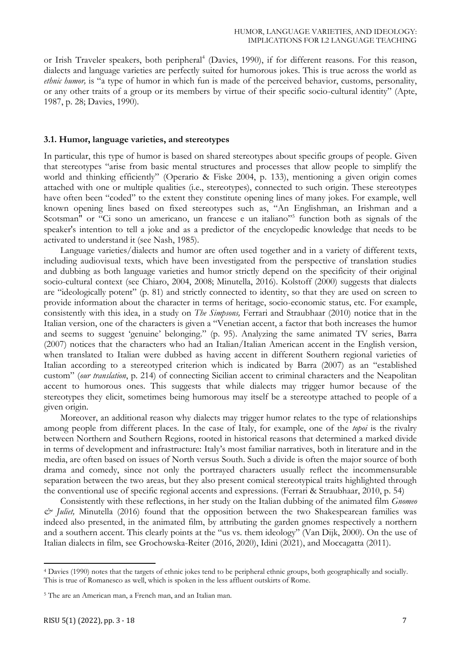or Irish Traveler speakers, both peripheral<sup>4</sup> (Davies, 1990), if for different reasons. For this reason, dialects and language varieties are perfectly suited for humorous jokes. This is true across the world as *ethnic humor*, is "a type of humor in which fun is made of the perceived behavior, customs, personality, or any other traits of a group or its members by virtue of their specific socio-cultural identity" (Apte, 1987, p. 28; Davies, 1990).

#### **3.1. Humor, language varieties, and stereotypes**

In particular, this type of humor is based on shared stereotypes about specific groups of people. Given that stereotypes "arise from basic mental structures and processes that allow people to simplify the world and thinking efficiently" (Operario & Fiske 2004, p. 133), mentioning a given origin comes attached with one or multiple qualities (i.e., stereotypes), connected to such origin. These stereotypes have often been "coded" to the extent they constitute opening lines of many jokes. For example, well known opening lines based on fixed stereotypes such as, "An Englishman, an Irishman and a Scotsman" or "Ci sono un americano, un francese e un italiano"<sup>5</sup> function both as signals of the speaker's intention to tell a joke and as a predictor of the encyclopedic knowledge that needs to be activated to understand it (see Nash, 1985).

Language varieties/dialects and humor are often used together and in a variety of different texts, including audiovisual texts, which have been investigated from the perspective of translation studies and dubbing as both language varieties and humor strictly depend on the specificity of their original socio-cultural context (see Chiaro, 2004, 2008; Minutella, 2016). Kolstoff (2000) suggests that dialects are "ideologically potent" (p. 81) and strictly connected to identity, so that they are used on screen to provide information about the character in terms of heritage, socio-economic status, etc. For example, consistently with this idea, in a study on *The Simpsons,* Ferrari and Straubhaar (2010) notice that in the Italian version, one of the characters is given a "Venetian accent, a factor that both increases the humor and seems to suggest 'genuine' belonging." (p. 95). Analyzing the same animated TV series, Barra (2007) notices that the characters who had an Italian/Italian American accent in the English version, when translated to Italian were dubbed as having accent in different Southern regional varieties of Italian according to a stereotyped criterion which is indicated by Barra (2007) as an "established custom" (*our translation*, p. 214) of connecting Sicilian accent to criminal characters and the Neapolitan accent to humorous ones. This suggests that while dialects may trigger humor because of the stereotypes they elicit, sometimes being humorous may itself be a stereotype attached to people of a given origin.

Moreover, an additional reason why dialects may trigger humor relates to the type of relationships among people from different places. In the case of Italy, for example, one of the *topoi* is the rivalry between Northern and Southern Regions, rooted in historical reasons that determined a marked divide in terms of development and infrastructure: Italy's most familiar narratives, both in literature and in the media, are often based on issues of North versus South. Such a divide is often the major source of both drama and comedy, since not only the portrayed characters usually reflect the incommensurable separation between the two areas, but they also present comical stereotypical traits highlighted through the conventional use of specific regional accents and expressions. (Ferrari & Straubhaar, 2010, p. 54)

Consistently with these reflections, in her study on the Italian dubbing of the animated film *Gnomeo & Juliet,* Minutella (2016) found that the opposition between the two Shakespearean families was indeed also presented, in the animated film, by attributing the garden gnomes respectively a northern and a southern accent. This clearly points at the "us vs. them ideology" (Van Dijk, 2000). On the use of Italian dialects in film, see Grochowska-Reiter (2016, 2020), Idini (2021), and Moccagatta (2011).

 $\overline{a}$ 

<sup>4</sup> Davies (1990) notes that the targets of ethnic jokes tend to be peripheral ethnic groups, both geographically and socially. This is true of Romanesco as well, which is spoken in the less affluent outskirts of Rome.

<sup>5</sup> The are an American man, a French man, and an Italian man.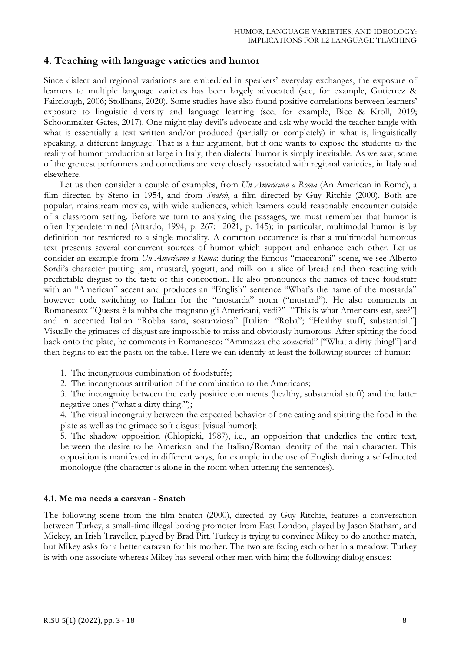## **4. Teaching with language varieties and humor**

Since dialect and regional variations are embedded in speakers' everyday exchanges, the exposure of learners to multiple language varieties has been largely advocated (see, for example, Gutierrez & Fairclough, 2006; Stollhans, 2020). Some studies have also found positive correlations between learners' exposure to linguistic diversity and language learning (see, for example, Bice & Kroll, 2019; Schoonmaker-Gates, 2017). One might play devil's advocate and ask why would the teacher tangle with what is essentially a text written and/or produced (partially or completely) in what is, linguistically speaking, a different language. That is a fair argument, but if one wants to expose the students to the reality of humor production at large in Italy, then dialectal humor is simply inevitable. As we saw, some of the greatest performers and comedians are very closely associated with regional varieties, in Italy and elsewhere.

Let us then consider a couple of examples, from *Un Americano a Roma* (An American in Rome), a film directed by Steno in 1954, and from *Snatch*, a film directed by Guy Ritchie (2000). Both are popular, mainstream movies, with wide audiences, which learners could reasonably encounter outside of a classroom setting. Before we turn to analyzing the passages, we must remember that humor is often hyperdetermined (Attardo, 1994, p. 267; 2021, p. 145); in particular, multimodal humor is by definition not restricted to a single modality. A common occurrence is that a multimodal humorous text presents several concurrent sources of humor which support and enhance each other. Let us consider an example from *Un Americano a Roma*: during the famous "maccaroni" scene, we see Alberto Sordi's character putting jam, mustard, yogurt, and milk on a slice of bread and then reacting with predictable disgust to the taste of this concoction. He also pronounces the names of these foodstuff with an "American" accent and produces an "English" sentence "What's the name of the mostarda" however code switching to Italian for the "mostarda" noun ("mustard"). He also comments in Romanesco: "Questa è la robba che magnano gli Americani, vedi?" ["This is what Americans eat, see?"] and in accented Italian "Robba sana, sostanziosa" [Italian: "Roba"; "Healthy stuff, substantial."] Visually the grimaces of disgust are impossible to miss and obviously humorous. After spitting the food back onto the plate, he comments in Romanesco: "Ammazza che zozzeria!" ["What a dirty thing!"] and then begins to eat the pasta on the table. Here we can identify at least the following sources of humor:

- 1. The incongruous combination of foodstuffs;
- 2. The incongruous attribution of the combination to the Americans;

3. The incongruity between the early positive comments (healthy, substantial stuff) and the latter negative ones ("what a dirty thing!");

4. The visual incongruity between the expected behavior of one eating and spitting the food in the plate as well as the grimace soft disgust [visual humor];

5. The shadow opposition (Chlopicki, 1987), i.e., an opposition that underlies the entire text, between the desire to be American and the Italian/Roman identity of the main character. This opposition is manifested in different ways, for example in the use of English during a self-directed monologue (the character is alone in the room when uttering the sentences).

#### **4.1. Me ma needs a caravan - Snatch**

The following scene from the film Snatch (2000), directed by Guy Ritchie, features a conversation between Turkey, a small-time illegal boxing promoter from East London, played by Jason Statham, and Mickey, an Irish Traveller, played by Brad Pitt. Turkey is trying to convince Mikey to do another match, but Mikey asks for a better caravan for his mother. The two are facing each other in a meadow: Turkey is with one associate whereas Mikey has several other men with him; the following dialog ensues: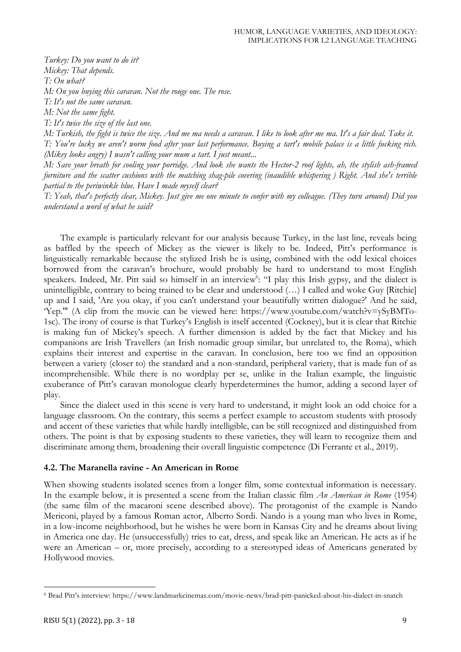*Turkey: Do you want to do it? Mickey: That depends. T: On what? M: On you buying this caravan. Not the rouge one. The rose. T: It's not the same caravan. M: Not the same fight. T: It's twice the size of the last one.*

*M: Turkish, the fight is twice the size. And me ma needs a caravan. I like to look after me ma. It's a fair deal. Take it. T: You're lucky we aren't worm food after your last performance. Buying a tart's mobile palace is a little fucking rich. (Mikey looks angry) I wasn't calling your mum a tart. I just meant...*

*M: Save your breath for cooling your porridge. And look she wants the Hector-2 roof lights, ah, the stylish ash-framed furniture and the scatter cushions with the matching shag-pile covering (inaudible whispering ) Right. And she's terrible partial to the periwinkle blue. Have I made myself clear?*

*T: Yeah, that's perfectly clear, Mickey. Just give me one minute to confer with my colleague. (They turn around) Did you understand a word of what he said?*

The example is particularly relevant for our analysis because Turkey, in the last line, reveals being as baffled by the speech of Mickey as the viewer is likely to be. Indeed, Pitt's performance is linguistically remarkable because the stylized Irish he is using, combined with the odd lexical choices borrowed from the caravan's brochure, would probably be hard to understand to most English speakers. Indeed, Mr. Pitt said so himself in an interview<sup>6</sup>: "I play this Irish gypsy, and the dialect is unintelligible, contrary to being trained to be clear and understood (…) I called and woke Guy [Ritchie] up and I said, 'Are you okay, if you can't understand your beautifully written dialogue?' And he said, 'Yep.'" (A clip from the movie can be viewed here: https://www.youtube.com/watch?v=ySyBMTo-1sc). The irony of course is that Turkey's English is itself accented (Cockney), but it is clear that Ritchie is making fun of Mickey's speech. A further dimension is added by the fact that Mickey and his companions are Irish Travellers (an Irish nomadic group similar, but unrelated to, the Roma), which explains their interest and expertise in the caravan. In conclusion, here too we find an opposition between a variety (closer to) the standard and a non-standard, peripheral variety, that is made fun of as incomprehensible. While there is no wordplay per se, unlike in the Italian example, the linguistic exuberance of Pitt's caravan monologue clearly hyperdetermines the humor, adding a second layer of play.

Since the dialect used in this scene is very hard to understand, it might look an odd choice for a language classroom. On the contrary, this seems a perfect example to accustom students with prosody and accent of these varieties that while hardly intelligible, can be still recognized and distinguished from others. The point is that by exposing students to these varieties, they will learn to recognize them and discriminate among them, broadening their overall linguistic competence (Di Ferrante et al., 2019).

#### **4.2. The Maranella ravine - An American in Rome**

When showing students isolated scenes from a longer film, some contextual information is necessary. In the example below, it is presented a scene from the Italian classic film *An American in Rome* (1954) (the same film of the macaroni scene described above). The protagonist of the example is Nando Mericoni, played by a famous Roman actor, Alberto Sordi. Nando is a young man who lives in Rome, in a low-income neighborhood, but he wishes he were born in Kansas City and he dreams about living in America one day. He (unsuccessfully) tries to eat, dress, and speak like an American. He acts as if he were an American – or, more precisely, according to a stereotyped ideas of Americans generated by Hollywood movies.

<sup>6</sup> Brad Pitt's interview: https://www.landmarkcinemas.com/movie-news/brad-pitt-panicked-about-his-dialect-in-snatch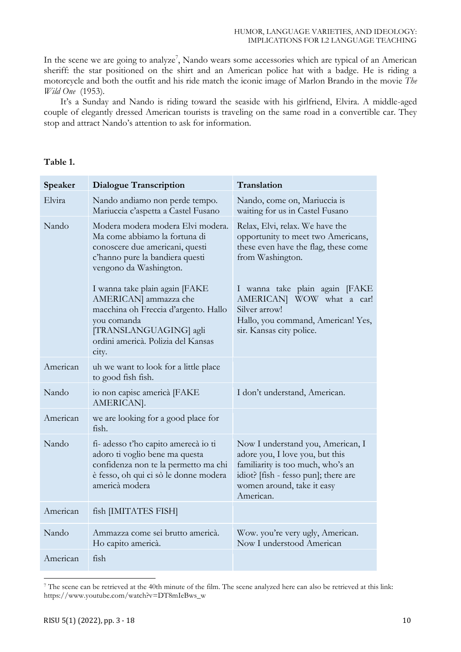In the scene we are going to analyze<sup>7</sup>, Nando wears some accessories which are typical of an American sheriff: the star positioned on the shirt and an American police hat with a badge. He is riding a motorcycle and both the outfit and his ride match the iconic image of Marlon Brando in the movie *The Wild One* (1953)*.*

It's a Sunday and Nando is riding toward the seaside with his girlfriend, Elvira. A middle-aged couple of elegantly dressed American tourists is traveling on the same road in a convertible car. They stop and attract Nando's attention to ask for information.

| Table 1. |  |
|----------|--|
|----------|--|

| Speaker  | <b>Dialogue Transcription</b>                                                                                                                                                           | Translation                                                                                                                                                                                  |
|----------|-----------------------------------------------------------------------------------------------------------------------------------------------------------------------------------------|----------------------------------------------------------------------------------------------------------------------------------------------------------------------------------------------|
| Elvira   | Nando andiamo non perde tempo.<br>Mariuccia c'aspetta a Castel Fusano                                                                                                                   | Nando, come on, Mariuccia is<br>waiting for us in Castel Fusano                                                                                                                              |
| Nando    | Modera modera modera Elvi modera.<br>Ma come abbiamo la fortuna di<br>conoscere due americani, questi<br>c'hanno pure la bandiera questi<br>vengono da Washington.                      | Relax, Elvi, relax. We have the<br>opportunity to meet two Americans,<br>these even have the flag, these come<br>from Washington.                                                            |
|          | I wanna take plain again [FAKE<br>AMERICAN] ammazza che<br>macchina oh Freccia d'argento. Hallo<br>you comanda<br>[TRANSLANGUAGING] agli<br>ordini americà. Polizia del Kansas<br>city. | I wanna take plain again [FAKE<br>AMERICAN] WOW what a car!<br>Silver arrow!<br>Hallo, you command, American! Yes,<br>sir. Kansas city police.                                               |
| American | uh we want to look for a little place<br>to good fish fish.                                                                                                                             |                                                                                                                                                                                              |
| Nando    | io non capisc americà [FAKE<br>AMERICAN].                                                                                                                                               | I don't understand, American.                                                                                                                                                                |
| American | we are looking for a good place for<br>fish.                                                                                                                                            |                                                                                                                                                                                              |
| Nando    | fi- adesso t'ho capito amerecà io ti<br>adoro ti voglio bene ma questa<br>confidenza non te la permetto ma chi<br>è fesso, oh qui ci sò le donne modera<br>americà modera               | Now I understand you, American, I<br>adore you, I love you, but this<br>familiarity is too much, who's an<br>idiot? [fish - fesso pun]; there are<br>women around, take it easy<br>American. |
| American | fish [IMITATES FISH]                                                                                                                                                                    |                                                                                                                                                                                              |
| Nando    | Ammazza come sei brutto americà.<br>Ho capito americà.                                                                                                                                  | Wow. you're very ugly, American.<br>Now I understood American                                                                                                                                |
| American | fish                                                                                                                                                                                    |                                                                                                                                                                                              |

<sup>7</sup> The scene can be retrieved at the 40th minute of the film. The scene analyzed here can also be retrieved at this link: https://www.youtube.com/watch?v=DT8mIeBws\_w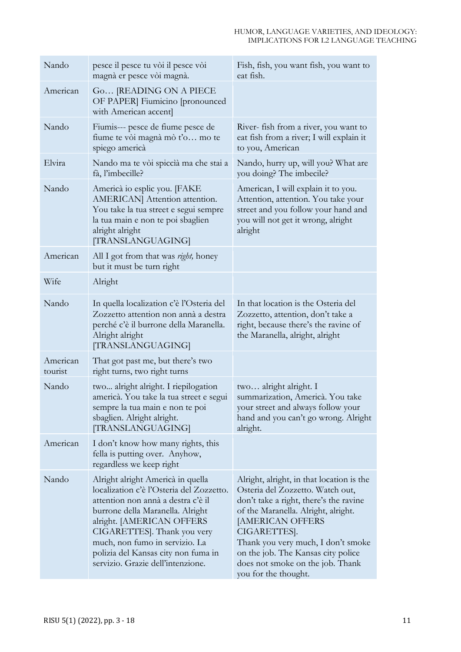| Nando               | pesce il pesce tu vòi il pesce vòi<br>magnà er pesce vòi magnà.                                                                                                                                                                                                                                                                   | Fish, fish, you want fish, you want to<br>eat fish.                                                                                                                                                                                                                                                                                               |
|---------------------|-----------------------------------------------------------------------------------------------------------------------------------------------------------------------------------------------------------------------------------------------------------------------------------------------------------------------------------|---------------------------------------------------------------------------------------------------------------------------------------------------------------------------------------------------------------------------------------------------------------------------------------------------------------------------------------------------|
| American            | Go [READING ON A PIECE<br>OF PAPER] Fiumicino [pronounced<br>with American accent]                                                                                                                                                                                                                                                |                                                                                                                                                                                                                                                                                                                                                   |
| Nando               | Fiumis--- pesce de fiume pesce de<br>fiume te vòi magnà mò t'o mo te<br>spiego americà                                                                                                                                                                                                                                            | River- fish from a river, you want to<br>eat fish from a river; I will explain it<br>to you, American                                                                                                                                                                                                                                             |
| Elvira              | Nando ma te vòi spiccià ma che stai a<br>fà, l'imbecille?                                                                                                                                                                                                                                                                         | Nando, hurry up, will you? What are<br>you doing? The imbecile?                                                                                                                                                                                                                                                                                   |
| Nando               | Americà io esplic you. [FAKE<br>AMERICAN] Attention attention.<br>You take la tua street e segui sempre<br>la tua main e non te poi sbaglien<br>alright alright<br>[TRANSLANGUAGING]                                                                                                                                              | American, I will explain it to you.<br>Attention, attention. You take your<br>street and you follow your hand and<br>you will not get it wrong, alright<br>alright                                                                                                                                                                                |
| American            | All I got from that was <i>right</i> , honey<br>but it must be turn right                                                                                                                                                                                                                                                         |                                                                                                                                                                                                                                                                                                                                                   |
| Wife                | Alright                                                                                                                                                                                                                                                                                                                           |                                                                                                                                                                                                                                                                                                                                                   |
| Nando               | In quella localization c'è l'Osteria del<br>Zozzetto attention non annà a destra<br>perché c'è il burrone della Maranella.<br>Alright alright<br>[TRANSLANGUAGING]                                                                                                                                                                | In that location is the Osteria del<br>Zozzetto, attention, don't take a<br>right, because there's the ravine of<br>the Maranella, alright, alright                                                                                                                                                                                               |
| American<br>tourist | That got past me, but there's two<br>right turns, two right turns                                                                                                                                                                                                                                                                 |                                                                                                                                                                                                                                                                                                                                                   |
| Nando               | two alright alright. I riepilogation<br>americà. You take la tua street e segui<br>sempre la tua main e non te poi<br>sbaglien. Alright alright.<br>[TRANSLANGUAGING]                                                                                                                                                             | two alright alright. I<br>summarization, Americà. You take<br>your street and always follow your<br>hand and you can't go wrong. Alright<br>alright.                                                                                                                                                                                              |
| American            | I don't know how many rights, this<br>fella is putting over. Anyhow,<br>regardless we keep right                                                                                                                                                                                                                                  |                                                                                                                                                                                                                                                                                                                                                   |
| Nando               | Alright alright Americà in quella<br>localization c'è l'Osteria del Zozzetto.<br>attention non annà a destra c'è il<br>burrone della Maranella. Alright<br>alright. [AMERICAN OFFERS<br>CIGARETTES]. Thank you very<br>much, non fumo in servizio. La<br>polizia del Kansas city non fuma in<br>servizio. Grazie dell'intenzione. | Alright, alright, in that location is the<br>Osteria del Zozzetto. Watch out,<br>don't take a right, there's the ravine<br>of the Maranella. Alright, alright.<br><b>[AMERICAN OFFERS</b><br>CIGARETTES].<br>Thank you very much, I don't smoke<br>on the job. The Kansas city police<br>does not smoke on the job. Thank<br>you for the thought. |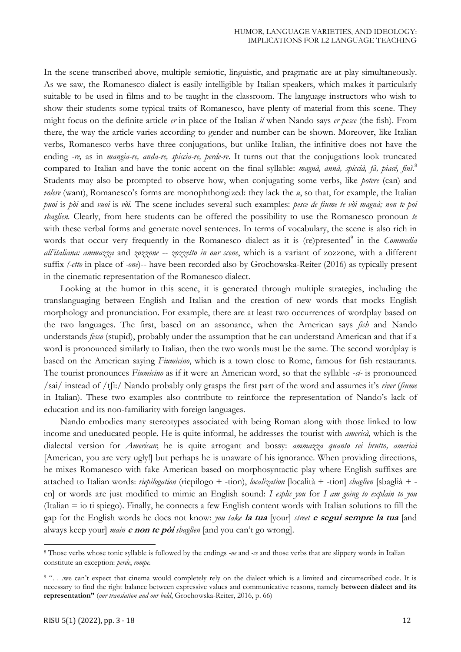In the scene transcribed above, multiple semiotic, linguistic, and pragmatic are at play simultaneously. As we saw, the Romanesco dialect is easily intelligible by Italian speakers, which makes it particularly suitable to be used in films and to be taught in the classroom. The language instructors who wish to show their students some typical traits of Romanesco, have plenty of material from this scene. They might focus on the definite article *er* in place of the Italian *il* when Nando says *er pesce* (the fish). From there, the way the article varies according to gender and number can be shown. Moreover, like Italian verbs, Romanesco verbs have three conjugations, but unlike Italian, the infinitive does not have the ending *-re,* as in *mangia-re, anda-re, spiccia-re, perde-re*. It turns out that the conjugations look truncated compared to Italian and have the tonic accent on the final syllable: *magnà, annà, spiccià, fà, piacé, finì*. 8 Students may also be prompted to observe how, when conjugating some verbs, like *potere* (can) and *volere* (want), Romanesco's forms are monophthongized: they lack the *u*, so that, for example, the Italian *puoi* is *pòi* and *vuoi* is *vòi.* The scene includes several such examples: *pesce de fiume te vòi magnà; non te poi sbaglien.* Clearly, from here students can be offered the possibility to use the Romanesco pronoun *te*  with these verbal forms and generate novel sentences. In terms of vocabulary, the scene is also rich in words that occur very frequently in the Romanesco dialect as it is (re)presented<sup>9</sup> in the *Commedia all'italiana: ammazza* and *zozzone* -- *zozzetto in our scene*, which is a variant of zozzone, with a different suffix *(-etto* in place of *-one*)-- have been recorded also by Grochowska-Reiter (2016) as typically present in the cinematic representation of the Romanesco dialect.

Looking at the humor in this scene, it is generated through multiple strategies, including the translanguaging between English and Italian and the creation of new words that mocks English morphology and pronunciation. For example, there are at least two occurrences of wordplay based on the two languages. The first, based on an assonance, when the American says *fish* and Nando understands *fesso* (stupid), probably under the assumption that he can understand American and that if a word is pronounced similarly to Italian, then the two words must be the same. The second wordplay is based on the American saying *Fiumicino*, which is a town close to Rome, famous for fish restaurants. The tourist pronounces *Fiumicino* as if it were an American word, so that the syllable -*ci-* is pronounced /sai/ instead of /tʃi:/ Nando probably only grasps the first part of the word and assumes it's *river* (*fiume* in Italian). These two examples also contribute to reinforce the representation of Nando's lack of education and its non-familiarity with foreign languages.

Nando embodies many stereotypes associated with being Roman along with those linked to low income and uneducated people. He is quite informal, he addresses the tourist with *americà,* which is the dialectal version for *American*; he is quite arrogant and bossy: *ammazza quanto sei brutto, americà* [American, you are very ugly!] but perhaps he is unaware of his ignorance. When providing directions, he mixes Romanesco with fake American based on morphosyntactic play where English suffixes are attached to Italian words: *riepilogation* (riepilogo + -tion), *localization* [località + -tion] *sbaglien* [sbaglià + en] or words are just modified to mimic an English sound: *I esplic you* for *I am going to explain to you* (Italian = io ti spiego). Finally, he connects a few English content words with Italian solutions to fill the gap for the English words he does not know: *you take* **la tua** [your] *street* **e segui sempre la tua** [and always keep your] *main* **e non te pòi** *sbaglien* [and you can't go wrong].

 $\overline{a}$ 

<sup>8</sup> Those verbs whose tonic syllable is followed by the endings *-ne* and *-ce* and those verbs that are slippery words in Italian constitute an exception: *perde*, *rompe.*

<sup>&</sup>lt;sup>9</sup> "... we can't expect that cinema would completely rely on the dialect which is a limited and circumscribed code. It is necessary to find the right balance between expressive values and communicative reasons, namely **between dialect and its representation"** (*our translation and our bold*, Grochowska-Reiter, 2016, p. 66)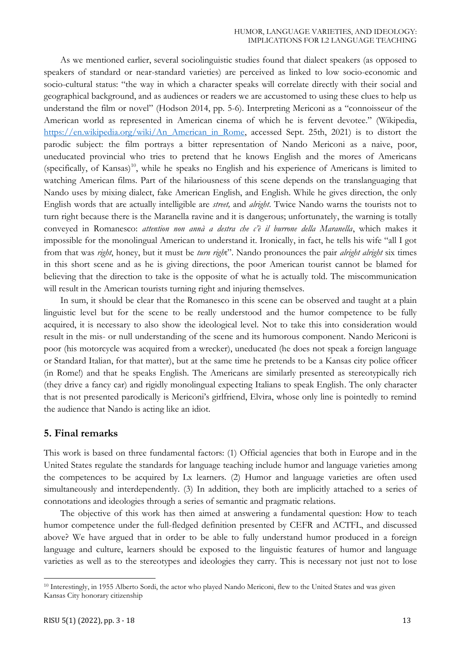#### HUMOR, LANGUAGE VARIETIES, AND IDEOLOGY: IMPLICATIONS FOR L2 LANGUAGE TEACHING

As we mentioned earlier, several sociolinguistic studies found that dialect speakers (as opposed to speakers of standard or near-standard varieties) are perceived as linked to low socio-economic and socio-cultural status: "the way in which a character speaks will correlate directly with their social and geographical background, and as audiences or readers we are accustomed to using these clues to help us understand the film or novel" (Hodson 2014, pp. 5-6). Interpreting Mericoni as a "connoisseur of the American world as represented in American cinema of which he is fervent devotee." (Wikipedia, [https://en.wikipedia.org/wiki/An\\_American\\_in\\_Rome,](https://en.wikipedia.org/wiki/An_American_in_Rome) accessed Sept. 25th, 2021) is to distort the parodic subject: the film portrays a bitter representation of Nando Mericoni as a naive, poor, uneducated provincial who tries to pretend that he knows English and the mores of Americans (specifically, of Kansas)<sup>10</sup>, while he speaks no English and his experience of Americans is limited to watching American films. Part of the hilariousness of this scene depends on the translanguaging that Nando uses by mixing dialect, fake American English, and English. While he gives direction, the only English words that are actually intelligible are *street,* and *alright*. Twice Nando warns the tourists not to turn right because there is the Maranella ravine and it is dangerous; unfortunately, the warning is totally conveyed in Romanesco: *attention non annà a destra che c'è il burrone della Maranella*, which makes it impossible for the monolingual American to understand it. Ironically, in fact, he tells his wife "all I got from that was *right*, honey, but it must be *turn righ*t". Nando pronounces the pair *alright alright* six times in this short scene and as he is giving directions, the poor American tourist cannot be blamed for believing that the direction to take is the opposite of what he is actually told. The miscommunication will result in the American tourists turning right and injuring themselves.

In sum, it should be clear that the Romanesco in this scene can be observed and taught at a plain linguistic level but for the scene to be really understood and the humor competence to be fully acquired, it is necessary to also show the ideological level. Not to take this into consideration would result in the mis- or null understanding of the scene and its humorous component. Nando Mericoni is poor (his motorcycle was acquired from a wrecker), uneducated (he does not speak a foreign language or Standard Italian, for that matter), but at the same time he pretends to be a Kansas city police officer (in Rome!) and that he speaks English. The Americans are similarly presented as stereotypically rich (they drive a fancy car) and rigidly monolingual expecting Italians to speak English. The only character that is not presented parodically is Mericoni's girlfriend, Elvira, whose only line is pointedly to remind the audience that Nando is acting like an idiot.

## **5. Final remarks**

This work is based on three fundamental factors: (1) Official agencies that both in Europe and in the United States regulate the standards for language teaching include humor and language varieties among the competences to be acquired by Lx learners. (2) Humor and language varieties are often used simultaneously and interdependently. (3) In addition, they both are implicitly attached to a series of connotations and ideologies through a series of semantic and pragmatic relations.

The objective of this work has then aimed at answering a fundamental question: How to teach humor competence under the full-fledged definition presented by CEFR and ACTFL, and discussed above? We have argued that in order to be able to fully understand humor produced in a foreign language and culture, learners should be exposed to the linguistic features of humor and language varieties as well as to the stereotypes and ideologies they carry. This is necessary not just not to lose

<sup>&</sup>lt;sup>10</sup> Interestingly, in 1955 Alberto Sordi, the actor who played Nando Mericoni, flew to the United States and was given Kansas City honorary citizenship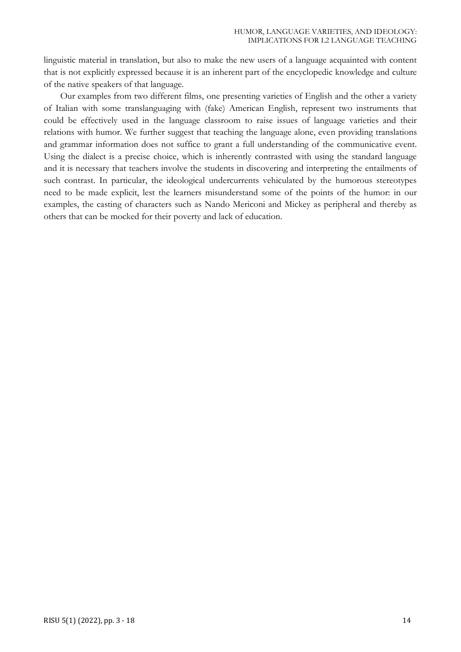linguistic material in translation, but also to make the new users of a language acquainted with content that is not explicitly expressed because it is an inherent part of the encyclopedic knowledge and culture of the native speakers of that language.

Our examples from two different films, one presenting varieties of English and the other a variety of Italian with some translanguaging with (fake) American English, represent two instruments that could be effectively used in the language classroom to raise issues of language varieties and their relations with humor. We further suggest that teaching the language alone, even providing translations and grammar information does not suffice to grant a full understanding of the communicative event. Using the dialect is a precise choice, which is inherently contrasted with using the standard language and it is necessary that teachers involve the students in discovering and interpreting the entailments of such contrast. In particular, the ideological undercurrents vehiculated by the humorous stereotypes need to be made explicit, lest the learners misunderstand some of the points of the humor: in our examples, the casting of characters such as Nando Mericoni and Mickey as peripheral and thereby as others that can be mocked for their poverty and lack of education.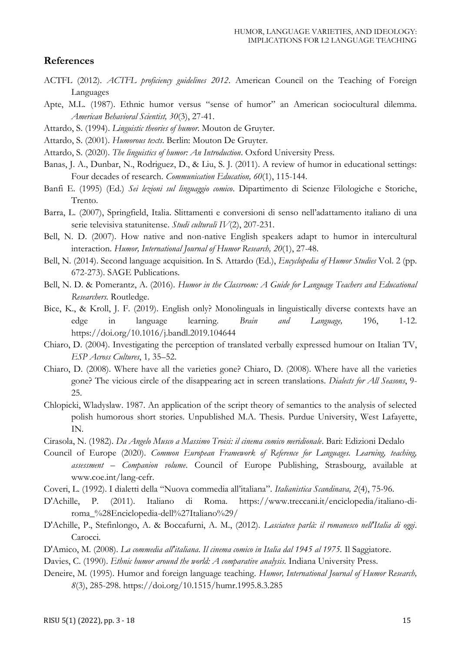## **References**

- ACTFL (2012). *ACTFL proficiency guidelines 2012*. American Council on the Teaching of Foreign Languages
- Apte, M.L. (1987). Ethnic humor versus "sense of humor" an American sociocultural dilemma. *American Behavioral Scientist, 30*(3), 27-41.
- Attardo, S. (1994). *Linguistic theories of humor*. Mouton de Gruyter.
- Attardo, S. (2001). *Humorous texts*. Berlin: Mouton De Gruyter.
- Attardo, S. (2020). *The linguistics of humor: An Introduction*. Oxford University Press.
- Banas, J. A., Dunbar, N., Rodriguez, D., & Liu, S. J. (2011). A review of humor in educational settings: Four decades of research. *Communication Education, 60*(1), 115-144.
- Banfi E. (1995) (Ed.) *Sei lezioni sul linguaggio comico*. Dipartimento di Scienze Filologiche e Storiche, Trento.
- Barra, L. (2007), Springfield, Italia. Slittamenti e conversioni di senso nell'adattamento italiano di una serie televisiva statunitense. *Studi culturali IV*(2), 207-231.
- Bell, N. D. (2007). How native and non-native English speakers adapt to humor in intercultural interaction. *Humor, International Journal of Humor Research, 20*(1), 27-48.
- Bell, N. (2014). Second language acquisition. In S. Attardo (Ed.), *Encyclopedia of Humor Studies* Vol. 2 (pp. 672-273). SAGE Publications.
- Bell, N. D. & Pomerantz, A. (2016). *Humor in the Classroom: A Guide for Language Teachers and Educational Researchers.* Routledge.
- Bice, K., & Kroll, J. F. (2019). English only? Monolinguals in linguistically diverse contexts have an edge in language learning. *Brain and Language,* 196, 1-12. https://doi.org/10.1016/j.bandl.2019.104644
- Chiaro, D. (2004). Investigating the perception of translated verbally expressed humour on Italian TV, *ESP Across Cultures*, 1*,* 35–52.
- Chiaro, D. (2008). Where have all the varieties gone? Chiaro, D. (2008). Where have all the varieties gone? The vicious circle of the disappearing act in screen translations. *Dialects for All Seasons*, 9- 25.
- Chlopicki, Wladyslaw. 1987. An application of the script theory of semantics to the analysis of selected polish humorous short stories. Unpublished M.A. Thesis. Purdue University, West Lafayette, IN.
- Cirasola, N. (1982). *Da Angelo Musco a Massimo Troisi: il cinema comico meridionale*. Bari: Edizioni Dedalo
- Council of Europe (2020). *Common European Framework of Reference for Languages. Learning, teaching, assessment – Companion volume*. Council of Europe Publishing, Strasbourg, available at www.coe.int/lang-cefr.
- Coveri, L. (1992). I dialetti della "Nuova commedia all'italiana". *Italianistica Scandinava, 2*(4), 75-96.
- D'Achille, P. (2011). Italiano di Roma. https://www.treccani.it/enciclopedia/italiano-diroma\_%28Enciclopedia-dell%27Italiano%29/
- D'Achille, P., Stefinlongo, A. & Boccafurni, A. M., (2012). *Lasciatece parlà: il romanesco nell'Italia di oggi*. Carocci.
- D'Amico, M. (2008). *La commedia all'italiana. Il cinema comico in Italia dal 1945 al 1975.* Il Saggiatore.
- Davies, C. (1990). *Ethnic humor around the world: A comparative analysis.* Indiana University Press.
- Deneire, M. (1995). Humor and foreign language teaching*. Humor, International Journal of Humor Research, 8*(3), 285-298. https://doi.org/10.1515/humr.1995.8.3.285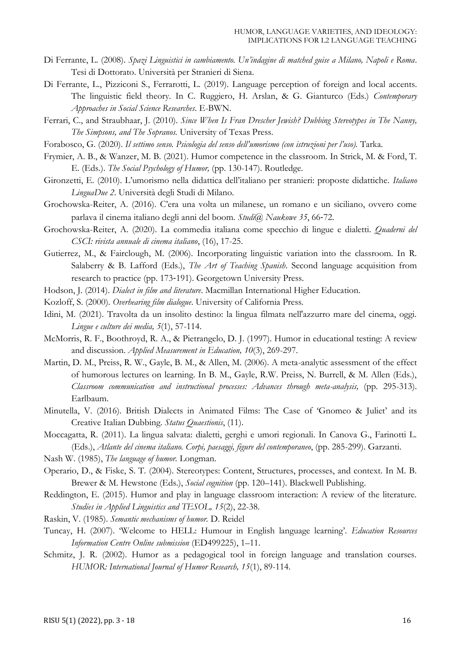- Di Ferrante, L. (2008). *Spazi Linguistici in cambiamento. Un'indagine di matched guise a Milano, Napoli e Roma*. Tesi di Dottorato. Università per Stranieri di Siena.
- Di Ferrante, L., Pizziconi S., Ferrarotti, L. (2019). Language perception of foreign and local accents. The linguistic field theory. In C. Ruggiero, H. Arslan, & G. Gianturco (Eds.) *Contemporary Approaches in Social Science Researches*. E-BWN.
- Ferrari, C., and Straubhaar, J. (2010). *Since When Is Fran Drescher Jewish? Dubbing Stereotypes in The Nanny, The Simpsons, and The Sopranos.* University of Texas Press.
- Forabosco, G. (2020). *Il settimo senso. Psicologia del senso dell'umorismo (con istruzioni per l'uso).* Tarka.
- Frymier, A. B., & Wanzer, M. B. (2021). Humor competence in the classroom. In Strick, M. & Ford, T. E. (Eds.). *The Social Psychology of Humor,* (pp. 130-147)*.* Routledge.
- Gironzetti, E. (2010). L'umorismo nella didattica dell'italiano per stranieri: proposte didattiche. *Italiano LinguaDue 2*. Università degli Studi di Milano.
- Grochowska-Reiter, A. (2016). C'era una volta un milanese, un romano e un siciliano, ovvero come parlava il cinema italiano degli anni del boom. *Studi@ Naukowe 35*, 66‐72.
- Grochowska-Reiter, A. (2020). La commedia italiana come specchio di lingue e dialetti. *Quaderni del CSCI: rivista annuale di cinema italiano*, (16), 17-25.
- Gutierrez, M., & Fairclough, M. (2006). Incorporating linguistic variation into the classroom. In R. Salaberry & B. Lafford (Eds.), *The Art of Teaching Spanish*. Second language acquisition from research to practice (pp. 173‐191). Georgetown University Press.
- Hodson, J. (2014). *Dialect in film and literature*. Macmillan International Higher Education.
- Kozloff, S. (2000). *Overhearing film dialogue*. University of California Press.
- Idini, M. (2021). Travolta da un insolito destino: la lingua filmata nell'azzurro mare del cinema, oggi. *Lingue e culture dei media, 5*(1), 57-114.
- McMorris, R. F., Boothroyd, R. A., & Pietrangelo, D. J. (1997). Humor in educational testing: A review and discussion. *Applied Measurement in Education, 10*(3), 269-297.
- Martin, D. M., Preiss, R. W., Gayle, B. M., & Allen, M. (2006). A meta-analytic assessment of the effect of humorous lectures on learning. In B. M., Gayle, R.W. Preiss, N. Burrell, & M. Allen (Eds.), *Classroom communication and instructional processes: Advances through meta-analysis,* (pp. 295-313). Earlbaum.
- Minutella, V. (2016). British Dialects in Animated Films: The Case of 'Gnomeo & Juliet' and its Creative Italian Dubbing. *Status Quaestionis*, (11).
- Moccagatta, R. (2011). La lingua salvata: dialetti, gerghi e umori regionali. In Canova G., Farinotti L. (Eds.), *Atlante del cinema italiano. Corpi, paesaggi, figure del contemporaneo*, (pp. 285-299). Garzanti.
- Nash W. (1985), *The language of humor.* Longman.
- Operario, D., & Fiske, S. T. (2004). Stereotypes: Content, Structures, processes, and context. In M. B. Brewer & M. Hewstone (Eds.), *Social cognition* (pp. 120–141). Blackwell Publishing.
- Reddington, E. (2015). Humor and play in language classroom interaction: A review of the literature. *Studies in Applied Linguistics and TESOL, 15*(2), 22-38.
- Raskin, V. (1985). *Semantic mechanisms of humor.* D. Reidel
- Tuncay, H. (2007). 'Welcome to HELL: Humour in English language learning'. *Education Resources Information Centre Online submission* (ED499225), 1–11.
- Schmitz, J. R. (2002). Humor as a pedagogical tool in foreign language and translation courses. *HUMOR: International Journal of Humor Research, 15*(1), 89-114.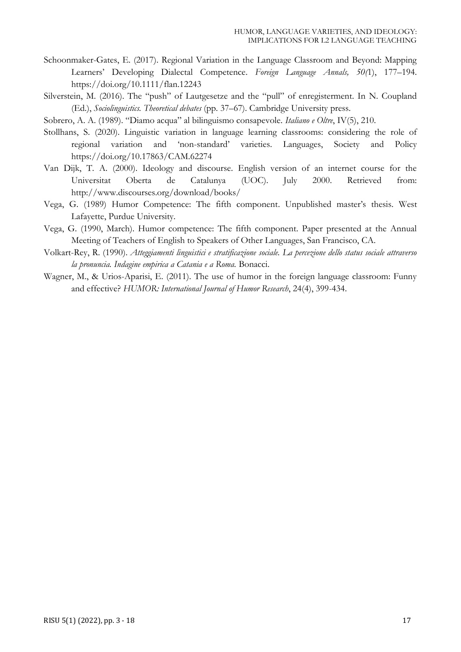- Schoonmaker-Gates, E. (2017). Regional Variation in the Language Classroom and Beyond: Mapping Learners' Developing Dialectal Competence. *Foreign Language Annals, 50(*1), 177–194. https://doi.org/10.1111/flan.12243
- Silverstein, M. (2016). The "push" of Lautgesetze and the "pull" of enregisterment. In N. Coupland (Ed.), *Sociolinguistics. Theoretical debates* (pp. 37–67). Cambridge University press.
- Sobrero, A. A. (1989). "Diamo acqua" al bilinguismo consapevole. *Italiano e Oltre*, IV(5), 210.
- Stollhans, S. (2020). Linguistic variation in language learning classrooms: considering the role of regional variation and 'non-standard' varieties. Languages, Society and Policy https://doi.org/10.17863/CAM.62274
- Van Dijk, T. A. (2000). Ideology and discourse. English version of an internet course for the Universitat Oberta de Catalunya (UOC). July 2000. Retrieved from: http://www.discourses.org/download/books/
- Vega, G. (1989) Humor Competence: The fifth component. Unpublished master's thesis. West Lafayette, Purdue University.
- Vega, G. (1990, March). Humor competence: The fifth component. Paper presented at the Annual Meeting of Teachers of English to Speakers of Other Languages, San Francisco, CA.
- Volkart-Rey, R. (1990). *Atteggiamenti linguistici e stratificazione sociale. La percezione dello status sociale attraverso la pronuncia. Indagine empirica a Catania e a Roma.* Bonacci.
- Wagner, M., & Urios-Aparisi, E. (2011). The use of humor in the foreign language classroom: Funny and effective? *HUMOR: International Journal of Humor Research*, 24(4), 399-434.